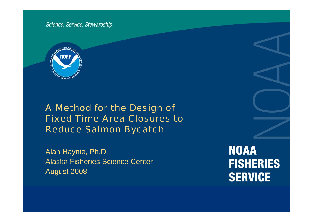Science, Service, Stewardship



A Method for the Design of Fixed Time-Area Closures to Reduce Salmon Bycatch

Alan Haynie, Ph.D. Alaska Fisheries Science Center August 2008

**NOAA FISHERIES SERVICE**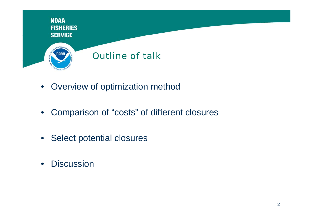

- Overview of optimization method
- $\bullet$ Comparison of "costs" of different closures
- Select potential closures
- $\bullet$ • Discussion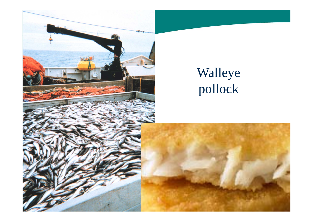

# Walleye pollock

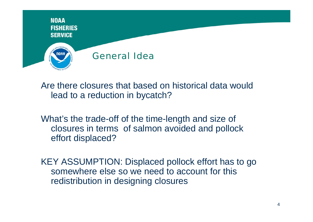

Are there closures that based on historical data would lead to a reduction in bycatch?

What's the trade-off of the time-length and size of closures in terms of salmon avoided and pollock effort displaced?

KEY ASSUMPTION: Displaced pollock effort has to go somewhere else so we need to account for this redistribution in designing closures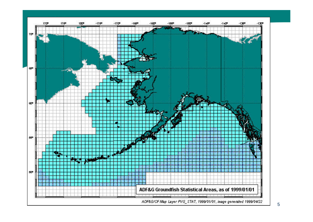

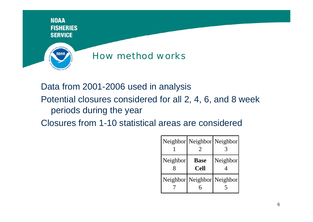

# Data from 2001-2006 used in analysis

# Potential closures considered for all 2, 4, 6, and 8 week periods during the year

Closures from 1-10 statistical areas are considered

|          |                            | Neighbor Neighbor Neighbor |
|----------|----------------------------|----------------------------|
| Neighbor | <b>Base</b><br><b>Cell</b> | Neighbor                   |
|          | Neighbor Neighbor Neighbor |                            |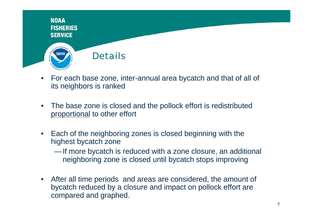

- $\bullet$  For each base zone, inter-annual area bycatch and that of all of its neighbors is ranked
- $\bullet$  The base zone is closed and the pollock effort is redistributed proportional to other effort
- $\bullet$ Each of the neighboring zones is closed beginning with the highest bycatch zone
	- —If more bycatch is reduced with a zone closure, an additional neighboring zone is closed until bycatch stops improving
- $\bullet$  After all time periods and areas are considered, the amount of bycatch reduced by <sup>a</sup> closure and impact on pollock effort are compared and graphed.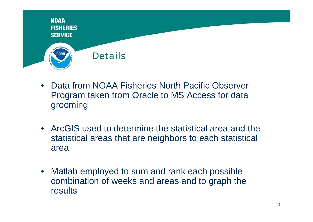

- $\bullet$  Data from NOAA Fisheries North Pacific Observer Program taken from Oracle to MS Access for data grooming
- ArcGIS used to determine the statistical area and the statistical areas that are neighbors to each statistical area
- $\bullet$  Matlab employed to sum and rank each possible combination of weeks and areas and to graph the results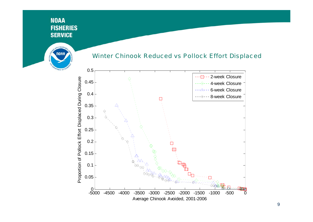

#### Winter Chinook Reduced vs Pollock Effort Displaced

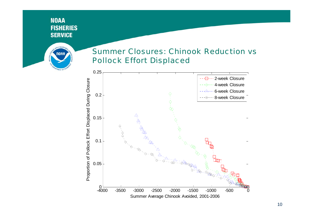

### Summer Closures: Chinook Reduction vs Pollock Effort Displaced

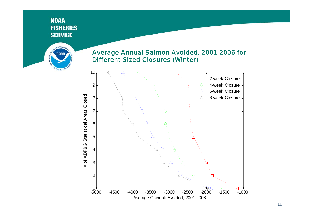

#### Average Annual Salmon Avoided, 2001-2006 for Different Sized Closures (Winter)



11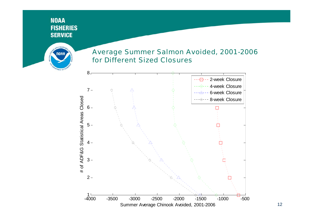

#### Average Summer Salmon Avoided, 2001-2006 for Different Sized Closures

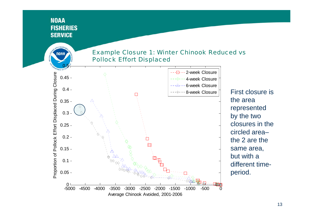NOAA

#### Example Closure 1: Winter Chinook Reduced vs Pollock Effort Displaced



 $\mathsf{e}\hspace{.1mm}\parallel\hspace{.1mm}$  First closure is the area represented by the two closures in the circled area–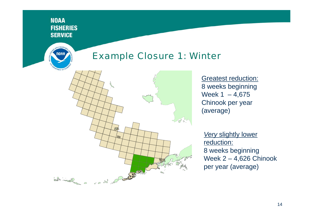10A





**Greatest reduction:** 8 weeks beginning Week  $1 - 4,675$ Chinook per year (average)

*Very* slightly lower reduction: 8 weeks beginning Week 2 – 4,626 Chinook per year (average)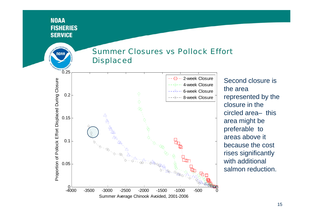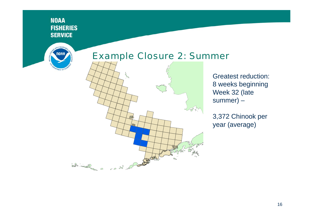

## Example Closure 2: Summer



Greatest reduction: 8 weeks beginning Week 32 (late summer) –

3,372 Chinook per year (average)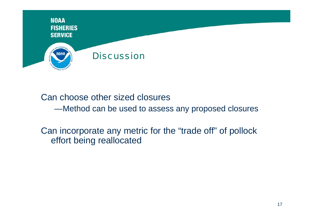

Can choose other sized closures

—Method can be used to assess any proposed closures

Can incorporate any metric for the "trade off" of pollock effort being reallocated